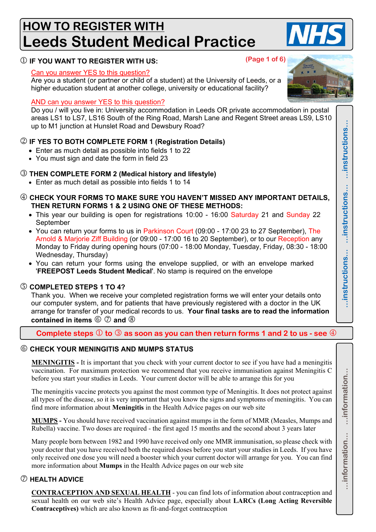# **HOW TO REGISTER WITH Leeds Student Medical Practice**

### $\circledR$  IF YOU WANT TO REGISTER WITH US:

#### Can you answer YES to this question?

Are you a student (or partner or child of a student) at the University of Leeds, or a higher education student at another college, university or educational facility?

#### AND can you answer YES to this question?

Do you / will you live in: University accommodation in Leeds OR private accommodation in postal areas LS1 to LS7, LS16 South of the Ring Road, Marsh Lane and Regent Street areas LS9, LS10 up to M1 junction at Hunslet Road and Dewsbury Road?

### k **IF YES TO BOTH COMPLETE FORM 1 (Registration Details)**

- · Enter as much detail as possible into fields 1 to 22
- · You must sign and date the form in field 23

### l **THEN COMPLETE FORM 2 (Medical history and lifestyle)**

· Enter as much detail as possible into fields 1 to 14

#### $\textcircled{\tiny{\textcirc}}$  CHECK YOUR FORMS TO MAKE SURE YOU HAVEN'T MISSED ANY IMPORTANT DETAILS. **THEN RETURN FORMS 1 & 2 USING ONE OF THESE METHODS:**

- This year our building is open for registrations 10:00 16:00 Saturday 21 and Sunday 22 September
- You can return your forms to us in Parkinson Court (09:00 17:00 23 to 27 September), The Arnold & Mariorie Ziff Building (or 09:00 - 17:00 16 to 20 September), or to our Reception any Monday to Friday during opening hours (07:00 - 18:00 Monday, Tuesday, Friday, 08:30 - 18:00 Wednesday, Thursday)
- · You can return your forms using the envelope supplied, or with an envelope marked '**FREEPOST Leeds Student Medical**'. No stamp is required on the envelope

### $\circ$  **COMPLETED STEPS 1 TO 4?**

Thank you. When we receive your completed registration forms we will enter your details onto our computer system, and for patients that have previously registered with a doctor in the UK arrange for transfer of your medical records to us. **Your final tasks are to read the information contained in items**  $\textcircled{D}$  and  $\textcircled{S}$ 

### **Complete steps**  $\textcircled{1}$  to  $\textcircled{3}$  as soon as you can then return forms 1 and 2 to us - see  $\textcircled{4}$

### o **CHECK YOUR MENINGITIS AND MUMPS STATUS**

**MENINGITIS -** It is important that you check with your current doctor to see if you have had a meningitis vaccination. For maximum protection we recommend that you receive immunisation against Meningitis C before you start your studies in Leeds. Your current doctor will be able to arrange this for you

The meningitis vaccine protects you against the most common type of Meningitis. It does not protect against all types of the disease, so it is very important that you know the signs and symptoms of meningitis. You can find more information about **Meningitis** in the Health Advice pages on our web site

**MUMPS -** You should have received vaccination against mumps in the form of MMR (Measles, Mumps and Rubella) vaccine. Two doses are required - the first aged 15 months and the second about 3 years later

Many people born between 1982 and 1990 have received only one MMR immunisation, so please check with your doctor that you have received both the required doses before you start your studies in Leeds. If you have only received one dose you will need a booster which your current doctor will arrange for you. You can find more information about **Mumps** in the Health Advice pages on our web site

### $\oslash$  **HEALTH ADVICE**

**CONTRACEPTION AND SEXUAL HEALTH** - you can find lots of information about contraception and sexual health on our web site's Health Advice page, especially about **LARCs (Long Acting Reversible Contraceptives)** which are also known as fit-and-forget contraception

**…instructions… …instructions… …instructions…** ...instructions. ...instructions...  $\vdots$ ...instructions.

**…information… …information…**

...information...

...information...



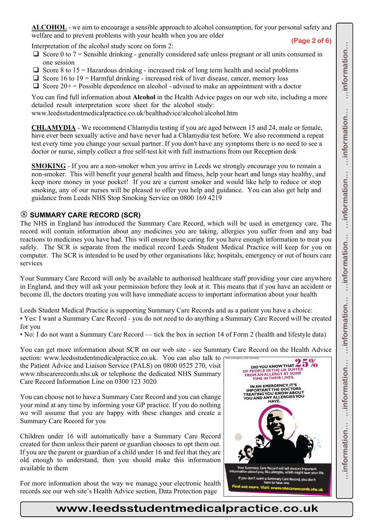**ALCOHOL** - we aim to encourage a sensible approach to alcohol consumption, for your personal safety and welfare and to prevent problems with your health when you are older

### **(Page 2 of 6)**

Interpretation of the alcohol study score on form 2:

- $\Box$  Score 0 to 7 = Sensible drinking generally considered safe unless pregnant or all units consumed in one session
- $\Box$  Score 8 to 15 = Hazardous drinking increased risk of long term health and social problems
- $\Box$  Score 16 to 19 = Harmful drinking increased risk of liver disease, cancer, memory loss
- $\Box$  Score 20+ = Possible dependence on alcohol advised to make an appointment with a doctor

You can find full information about **Alcohol** in the Health Advice pages on our web site, including a more detailed result interpretation score sheet for the alcohol study: www.leedsstudentmedicalpractice.co.uk/healthadvice/alcohol/alcohol.htm

**CHLAMYDIA** - We recommend Chlamydia testing if you are aged between 15 and 24, male or female, have ever been sexually active and have never had a Chlamydia test before. We also recommend a repeat test every time you change your sexual partner. If you don't have any symptoms there is no need to see a doctor or nurse, simply collect a free self-test kit with full instructions from our Reception desk

**SMOKING** - If you are a non-smoker when you arrive in Leeds we strongly encourage you to remain a non-smoker. This will benefit your general health and fitness, help your heart and lungs stay healthy, and keep more money in your pocket! If you are a current smoker and would like help to reduce or stop smoking, any of our nurses will be pleased to offer you help and guidance. You can also get help and guidance from Leeds NHS Stop Smoking Service on 0800 169 4219

## q **SUMMARY CARE RECORD (SCR)**

The NHS in England has introduced the Summary Care Record, which will be used in emergency care. The record will contain information about any medicines you are taking, allergies you suffer from and any bad reactions to medicines you have had. This will ensure those caring for you have enough information to treat you safely. The SCR is separate from the medical record Leeds Student Medical Practice will keep for you on computer. The SCR is intended to be used by other organisations like; hospitals, emergency or out of hours care services

Your Summary Care Record will only be available to authorised healthcare staff providing your care anywhere in England, and they will ask your permission before they look at it. This means that if you have an accident or become ill, the doctors treating you will have immediate access to important information about your health

Leeds Student Medical Practice is supporting Summary Care Records and as a patient you have a choice:

• Yes: I want a Summary Care Record - you do not need to do anything a Summary Care Record will be created for you

• No: I do not want a Summary Care Record — tick the box in section 14 of Form 2 (health and lifestyle data)

You can get more information about SCR on our web site - see Summary Care Record on the Health Advice section: www.leedsstudentmedicalpractice.co.uk. You can also talk to

the Patient Advice and Liaison Service (PALS) on 0800 0525 270, visit www.nhscarerecords.nhs.uk or telephone the dedicated NHS Summary Care Record Information Line on 0300 123 3020

You can choose not to have a Summary Care Record and you can change your mind at any time by informing your GP practice. If you do nothing we will assume that you are happy with these changes and create a Summary Care Record for you

Children under 16 will automatically have a Summary Care Record created for them unless their parent or guardian chooses to opt them out. If you are the parent or guardian of a child under 16 and feel that they are old enough to understand, then you should make this information available to them

For more information about the way we manage your electronic health records see our web site's Health Advice section, Data Protection page



**www.leedsstudentmedicalpractice.co.uk**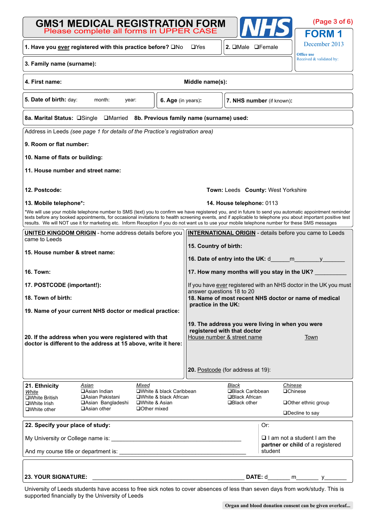| <b>GMS1 MEDICAL REGISTRATION FORM</b><br>Please complete all forms in UPPER CASE                                                                                                                                                                                                                                                                                                                                                                                             |                                                                                                                       |                                                                   | (Page 3 of 6)<br><b>FORM1</b>                                          |  |  |  |  |  |
|------------------------------------------------------------------------------------------------------------------------------------------------------------------------------------------------------------------------------------------------------------------------------------------------------------------------------------------------------------------------------------------------------------------------------------------------------------------------------|-----------------------------------------------------------------------------------------------------------------------|-------------------------------------------------------------------|------------------------------------------------------------------------|--|--|--|--|--|
| 1. Have you ever registered with this practice before? □No                                                                                                                                                                                                                                                                                                                                                                                                                   | 2. OMale OFemale                                                                                                      | December 2013<br>Office use                                       |                                                                        |  |  |  |  |  |
| Received & validated by:<br>3. Family name (surname):                                                                                                                                                                                                                                                                                                                                                                                                                        |                                                                                                                       |                                                                   |                                                                        |  |  |  |  |  |
| 4. First name:<br>Middle name(s):                                                                                                                                                                                                                                                                                                                                                                                                                                            |                                                                                                                       |                                                                   |                                                                        |  |  |  |  |  |
| 5. Date of birth: day:<br>month:<br>6. Age (in years):<br>year:                                                                                                                                                                                                                                                                                                                                                                                                              |                                                                                                                       | 7. NHS number (if known):                                         |                                                                        |  |  |  |  |  |
| 8a. Marital Status: <b>Sample</b> DMarried 8b. Previous family name (surname) used:                                                                                                                                                                                                                                                                                                                                                                                          |                                                                                                                       |                                                                   |                                                                        |  |  |  |  |  |
| Address in Leeds (see page 1 for details of the Practice's registration area)                                                                                                                                                                                                                                                                                                                                                                                                |                                                                                                                       |                                                                   |                                                                        |  |  |  |  |  |
| 9. Room or flat number:                                                                                                                                                                                                                                                                                                                                                                                                                                                      |                                                                                                                       |                                                                   |                                                                        |  |  |  |  |  |
| 10. Name of flats or building:                                                                                                                                                                                                                                                                                                                                                                                                                                               |                                                                                                                       |                                                                   |                                                                        |  |  |  |  |  |
| 11. House number and street name:                                                                                                                                                                                                                                                                                                                                                                                                                                            |                                                                                                                       |                                                                   |                                                                        |  |  |  |  |  |
| 12. Postcode:                                                                                                                                                                                                                                                                                                                                                                                                                                                                |                                                                                                                       | Town: Leeds County: West Yorkshire                                |                                                                        |  |  |  |  |  |
| 13. Mobile telephone*:                                                                                                                                                                                                                                                                                                                                                                                                                                                       |                                                                                                                       | 14. House telephone: 0113                                         |                                                                        |  |  |  |  |  |
| *We will use your mobile telephone number to SMS (text) you to confirm we have registered you, and in future to send you automatic appointment reminder<br>texts before any booked appointments, for occasional invitations to health screening events, and if applicable to telephone you about important positive test<br>results. We will NOT use it for marketing etc. Inform Reception if you do not want us to use your mobile telephone number for these SMS messages |                                                                                                                       |                                                                   |                                                                        |  |  |  |  |  |
| <b>UNITED KINGDOM ORIGIN</b> - home address details before you<br>came to Leeds                                                                                                                                                                                                                                                                                                                                                                                              |                                                                                                                       | <b>INTERNATIONAL ORIGIN</b> - details before you came to Leeds    |                                                                        |  |  |  |  |  |
|                                                                                                                                                                                                                                                                                                                                                                                                                                                                              | 15. Country of birth:                                                                                                 |                                                                   |                                                                        |  |  |  |  |  |
| 15. House number & street name:                                                                                                                                                                                                                                                                                                                                                                                                                                              |                                                                                                                       |                                                                   |                                                                        |  |  |  |  |  |
| <b>16. Town:</b>                                                                                                                                                                                                                                                                                                                                                                                                                                                             |                                                                                                                       | 17. How many months will you stay in the UK?                      |                                                                        |  |  |  |  |  |
| 17. POSTCODE (important!):                                                                                                                                                                                                                                                                                                                                                                                                                                                   |                                                                                                                       | If you have ever registered with an NHS doctor in the UK you must |                                                                        |  |  |  |  |  |
| 18. Town of birth:                                                                                                                                                                                                                                                                                                                                                                                                                                                           | answer questions 18 to 20<br>18. Name of most recent NHS doctor or name of medical                                    |                                                                   |                                                                        |  |  |  |  |  |
| 19. Name of your current NHS doctor or medical practice:                                                                                                                                                                                                                                                                                                                                                                                                                     | practice in the UK:                                                                                                   |                                                                   |                                                                        |  |  |  |  |  |
| 20. If the address when you were registered with that<br>doctor is different to the address at 15 above, write it here:                                                                                                                                                                                                                                                                                                                                                      | 19. The address you were living in when you were<br>registered with that doctor<br>House number & street name<br>Town |                                                                   |                                                                        |  |  |  |  |  |
|                                                                                                                                                                                                                                                                                                                                                                                                                                                                              |                                                                                                                       | 20. Postcode (for address at 19):                                 |                                                                        |  |  |  |  |  |
| Asian<br>Mixed<br>21. Ethnicity<br><b>□Asian Indian</b><br>□White & black Caribbean<br>White                                                                                                                                                                                                                                                                                                                                                                                 |                                                                                                                       | Black<br><b>□Black Caribbean</b>                                  | Chinese<br><b>QChinese</b>                                             |  |  |  |  |  |
| □ Asian Pakistani<br>□White & black African<br><b>□White British</b><br>$\square$ White & Asian<br>□Asian Bangladeshi<br><b>□White Irish</b>                                                                                                                                                                                                                                                                                                                                 |                                                                                                                       | <b>□Black African</b><br>$\Box$ Black other                       | $\Box$ Other ethnic group                                              |  |  |  |  |  |
| □Asian other<br>□ Other mixed<br>$\square$ White other                                                                                                                                                                                                                                                                                                                                                                                                                       |                                                                                                                       |                                                                   | □Decline to say                                                        |  |  |  |  |  |
| 22. Specify your place of study:                                                                                                                                                                                                                                                                                                                                                                                                                                             |                                                                                                                       | Or:                                                               |                                                                        |  |  |  |  |  |
|                                                                                                                                                                                                                                                                                                                                                                                                                                                                              |                                                                                                                       |                                                                   | $\Box$ I am not a student I am the<br>partner or child of a registered |  |  |  |  |  |
| student                                                                                                                                                                                                                                                                                                                                                                                                                                                                      |                                                                                                                       |                                                                   |                                                                        |  |  |  |  |  |
| <b>23. YOUR SIGNATURE:</b>                                                                                                                                                                                                                                                                                                                                                                                                                                                   |                                                                                                                       | <b>DATE: d</b>                                                    | $m$ y                                                                  |  |  |  |  |  |

University of Leeds students have access to free sick notes to cover absences of less than seven days from work/study. This is supported financially by the University of Leeds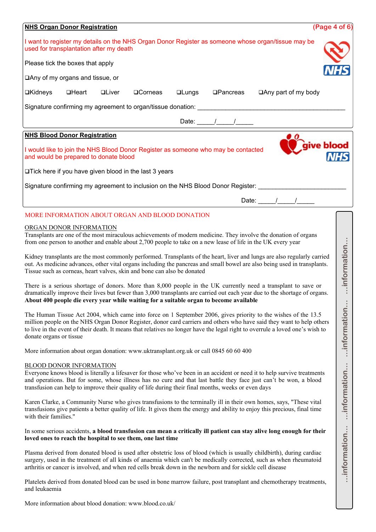| <b>NHS Organ Donor Registration</b><br>(Page 4 of $6$ )                                                                                                                                                                                                                                                                                                                                                            |             |  |  |  |  |  |
|--------------------------------------------------------------------------------------------------------------------------------------------------------------------------------------------------------------------------------------------------------------------------------------------------------------------------------------------------------------------------------------------------------------------|-------------|--|--|--|--|--|
| I want to register my details on the NHS Organ Donor Register as someone whose organ/tissue may be<br>used for transplantation after my death                                                                                                                                                                                                                                                                      |             |  |  |  |  |  |
| Please tick the boxes that apply                                                                                                                                                                                                                                                                                                                                                                                   |             |  |  |  |  |  |
| □Any of my organs and tissue, or                                                                                                                                                                                                                                                                                                                                                                                   |             |  |  |  |  |  |
| $D$ Heart<br><b>QPancreas</b><br><b>□Kidneys</b><br><b>QLiver</b><br><b>□Corneas</b><br>$\Box$ Lungs<br>$\Box$ Any part of my body                                                                                                                                                                                                                                                                                 |             |  |  |  |  |  |
| Signature confirming my agreement to organ/tissue donation:                                                                                                                                                                                                                                                                                                                                                        |             |  |  |  |  |  |
| Date: $\frac{1}{\sqrt{2}}$                                                                                                                                                                                                                                                                                                                                                                                         |             |  |  |  |  |  |
| <b>NHS Blood Donor Registration</b>                                                                                                                                                                                                                                                                                                                                                                                |             |  |  |  |  |  |
| give blooc<br>I would like to join the NHS Blood Donor Register as someone who may be contacted<br>and would be prepared to donate blood                                                                                                                                                                                                                                                                           |             |  |  |  |  |  |
| □Tick here if you have given blood in the last 3 years                                                                                                                                                                                                                                                                                                                                                             |             |  |  |  |  |  |
| Signature confirming my agreement to inclusion on the NHS Blood Donor Register:                                                                                                                                                                                                                                                                                                                                    |             |  |  |  |  |  |
| Date: $\frac{1}{\sqrt{2\pi}}$                                                                                                                                                                                                                                                                                                                                                                                      |             |  |  |  |  |  |
| MORE INFORMATION ABOUT ORGAN AND BLOOD DONATION                                                                                                                                                                                                                                                                                                                                                                    |             |  |  |  |  |  |
| ORGAN DONOR INFORMATION<br>Transplants are one of the most miraculous achievements of modern medicine. They involve the donation of organs<br>from one person to another and enable about 2,700 people to take on a new lease of life in the UK every year                                                                                                                                                         |             |  |  |  |  |  |
| information<br>Kidney transplants are the most commonly performed. Transplants of the heart, liver and lungs are also regularly carried<br>out. As medicine advances, other vital organs including the pancreas and small bowel are also being used in transplants.<br>Tissue such as corneas, heart valves, skin and bone can also be donated                                                                     |             |  |  |  |  |  |
| There is a serious shortage of donors. More than 8,000 people in the UK currently need a transplant to save or<br>dramatically improve their lives but fewer than 3,000 transplants are carried out each year due to the shortage of organs.<br>About 400 people die every year while waiting for a suitable organ to become available                                                                             |             |  |  |  |  |  |
| information<br>The Human Tissue Act 2004, which came into force on 1 September 2006, gives priority to the wishes of the 13.5<br>million people on the NHS Organ Donor Register, donor card carriers and others who have said they want to help others<br>to live in the event of their death. It means that relatives no longer have the legal right to overrule a loved one's wish to<br>donate organs or tissue |             |  |  |  |  |  |
| More information about organ donation: www.uktransplant.org.uk or call 0845 60 60 400                                                                                                                                                                                                                                                                                                                              |             |  |  |  |  |  |
| information<br><b>BLOOD DONOR INFORMATION</b><br>Everyone knows blood is literally a lifesaver for those who've been in an accident or need it to help survive treatments<br>and operations. But for some, whose illness has no cure and that last battle they face just can't be won, a blood<br>transfusion can help to improve their quality of life during their final months, weeks or even days              |             |  |  |  |  |  |
| Karen Clarke, a Community Nurse who gives transfusions to the terminally ill in their own homes, says, "These vital<br>transfusions give patients a better quality of life. It gives them the energy and ability to enjoy this precious, final time<br>with their families."                                                                                                                                       |             |  |  |  |  |  |
| In some serious accidents, a blood transfusion can mean a critically ill patient can stay alive long enough for their<br>loved ones to reach the hospital to see them, one last time                                                                                                                                                                                                                               |             |  |  |  |  |  |
| Plasma derived from donated blood is used after obstetric loss of blood (which is usually childbirth), during cardiac<br>surgery, used in the treatment of all kinds of anaemia which can't be medically corrected, such as when rheumatoid<br>arthritis or cancer is involved, and when red cells break down in the newborn and for sickle cell disease                                                           | information |  |  |  |  |  |
| Platelets derived from donated blood can be used in bone marrow failure, post transplant and chemotherapy treatments,<br>and leukaemia                                                                                                                                                                                                                                                                             |             |  |  |  |  |  |
| More information about blood donation: www.blood.co.uk/                                                                                                                                                                                                                                                                                                                                                            |             |  |  |  |  |  |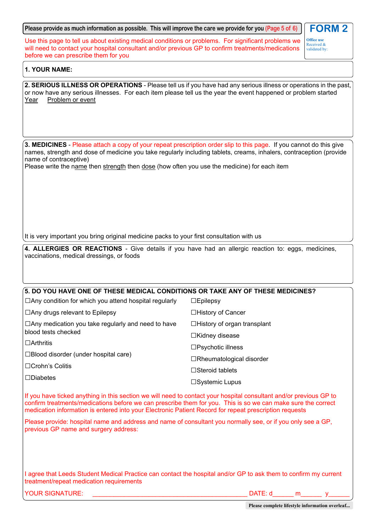**Please provide as much information as possible. This will improve the care we provide for you (Page 5 of 6)**

Use this page to tell us about existing medical conditions or problems. For significant problems we will need to contact your hospital consultant and/or previous GP to confirm treatments/medications before we can prescribe them for you

**Office use** Received & validated by

**FORM 2**

#### **1. YOUR NAME:**

**2. SERIOUS ILLNESS OR OPERATIONS** - Please tell us if you have had any serious illness or operations in the past, or now have any serious illnesses. For each item please tell us the year the event happened or problem started Problem or event

**3. MEDICINES** - Please attach a copy of your repeat prescription order slip to this page. If you cannot do this give names, strength and dose of medicine you take regularly including tablets, creams, inhalers, contraception (provide name of contraceptive)

Please write the name then strength then dose (how often you use the medicine) for each item

It is very important you bring original medicine packs to your first consultation with us

**4. ALLERGIES OR REACTIONS** - Give details if you have had an allergic reaction to: eggs, medicines, vaccinations, medical dressings, or foods

| 5. DO YOU HAVE ONE OF THESE MEDICAL CONDITIONS OR TAKE ANY OF THESE MEDICINES?                                     |                                    |  |  |  |  |  |  |
|--------------------------------------------------------------------------------------------------------------------|------------------------------------|--|--|--|--|--|--|
| $\Box$ Any condition for which you attend hospital regularly                                                       | $\Box$ Epilepsy                    |  |  |  |  |  |  |
| $\Box$ Any drugs relevant to Epilepsy                                                                              | □History of Cancer                 |  |  |  |  |  |  |
| $\Box$ Any medication you take regularly and need to have<br>blood tests checked<br>$\Box$ Arthritis               | $\Box$ History of organ transplant |  |  |  |  |  |  |
|                                                                                                                    | $\Box$ Kidney disease              |  |  |  |  |  |  |
|                                                                                                                    | $\square$ Psychotic illness        |  |  |  |  |  |  |
| $\Box$ Blood disorder (under hospital care)                                                                        | $\Box$ Rheumatological disorder    |  |  |  |  |  |  |
| $\Box$ Crohn's Colitis                                                                                             | $\Box$ Steroid tablets             |  |  |  |  |  |  |
| $\square$ Diabetes                                                                                                 |                                    |  |  |  |  |  |  |
|                                                                                                                    | $\Box$ Systemic Lupus              |  |  |  |  |  |  |
| If you have ticked anything in this section we will need to contact your hospital consultant and/or previous GP to |                                    |  |  |  |  |  |  |

If you have ticked anything in this section we will need to contact your hospital consultant and/or previous GP to confirm treatments/medications before we can prescribe them for you. This is so we can make sure the correct medication information is entered into your Electronic Patient Record for repeat prescription requests

Please provide: hospital name and address and name of consultant you normally see, or if you only see a GP, previous GP name and surgery address:

I agree that Leeds Student Medical Practice can contact the hospital and/or GP to ask them to confirm my current treatment/repeat medication requirements

YOUR SIGNATURE: \_\_\_\_\_\_\_\_\_\_\_\_\_\_\_\_\_\_\_\_\_\_\_\_\_\_\_\_\_\_\_\_\_\_\_\_\_\_\_\_\_\_\_\_ DATE: d\_\_\_\_\_\_ m\_\_\_\_\_\_ y\_\_\_\_\_\_